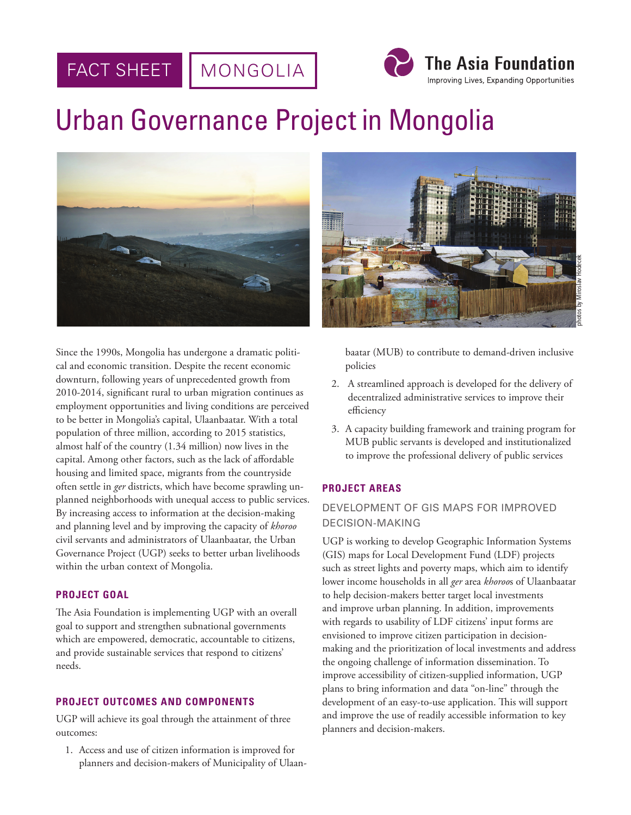#### FACT SHEET MONGOLIA



# Urban Governance Project in Mongolia



Since the 1990s, Mongolia has undergone a dramatic political and economic transition. Despite the recent economic downturn, following years of unprecedented growth from 2010-2014, significant rural to urban migration continues as employment opportunities and living conditions are perceived to be better in Mongolia's capital, Ulaanbaatar. With a total population of three million, according to 2015 statistics, almost half of the country (1.34 million) now lives in the capital. Among other factors, such as the lack of affordable housing and limited space, migrants from the countryside often settle in *ger* districts, which have become sprawling unplanned neighborhoods with unequal access to public services. By increasing access to information at the decision-making and planning level and by improving the capacity of *khoroo* civil servants and administrators of Ulaanbaatar, the Urban Governance Project (UGP) seeks to better urban livelihoods within the urban context of Mongolia.

## **PROJECT GOAL**

The Asia Foundation is implementing UGP with an overall goal to support and strengthen subnational governments which are empowered, democratic, accountable to citizens, and provide sustainable services that respond to citizens' needs.

## **PROJECT OUTCOMES AND COMPONENTS**

UGP will achieve its goal through the attainment of three outcomes:

1. Access and use of citizen information is improved for planners and decision-makers of Municipality of Ulaan-



baatar (MUB) to contribute to demand-driven inclusive policies

- 2. A streamlined approach is developed for the delivery of decentralized administrative services to improve their efficiency
- 3. A capacity building framework and training program for MUB public servants is developed and institutionalized to improve the professional delivery of public services

## **PROJECT AREAS**

## DEVELOPMENT OF GIS MAPS FOR IMPROVED DECISION-MAKING

UGP is working to develop Geographic Information Systems (GIS) maps for Local Development Fund (LDF) projects such as street lights and poverty maps, which aim to identify lower income households in all *ger* area *khoroo*s of Ulaanbaatar to help decision-makers better target local investments and improve urban planning. In addition, improvements with regards to usability of LDF citizens' input forms are envisioned to improve citizen participation in decisionmaking and the prioritization of local investments and address the ongoing challenge of information dissemination. To improve accessibility of citizen-supplied information, UGP plans to bring information and data "on-line" through the development of an easy-to-use application. This will support and improve the use of readily accessible information to key planners and decision-makers.